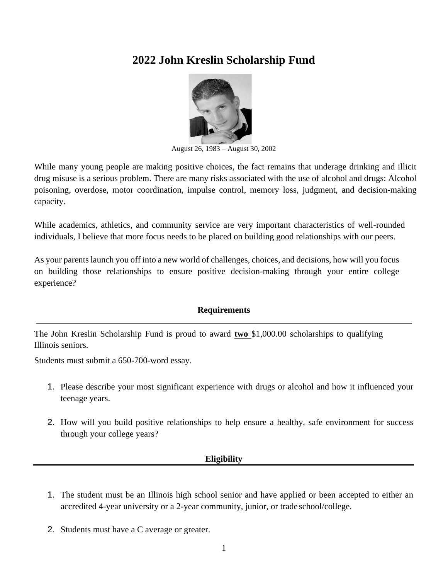# **2022 John Kreslin Scholarship Fund**



August 26, 1983 – August 30, 2002

While many young people are making positive choices, the fact remains that underage drinking and illicit drug misuse is a serious problem. There are many risks associated with the use of alcohol and drugs: Alcohol poisoning, overdose, motor coordination, impulse control, memory loss, judgment, and decision-making capacity.

While academics, athletics, and community service are very important characteristics of well-rounded individuals, I believe that more focus needs to be placed on building good relationships with our peers.

As your parentslaunch you off into a new world of challenges, choices, and decisions, how will you focus on building those relationships to ensure positive decision-making through your entire college experience?

## **Requirements**

The John Kreslin Scholarship Fund is proud to award **two** \$1,000.00 scholarships to qualifying Illinois seniors.

Students must submit a 650-700-word essay.

- 1. Please describe your most significant experience with drugs or alcohol and how it influenced your teenage years.
- 2. How will you build positive relationships to help ensure a healthy, safe environment for success through your college years?

### **Eligibility**

- 1. The student must be an Illinois high school senior and have applied or been accepted to either an accredited 4-year university or a 2-year community, junior, or trade school/college.
- 2. Students must have a C average or greater.